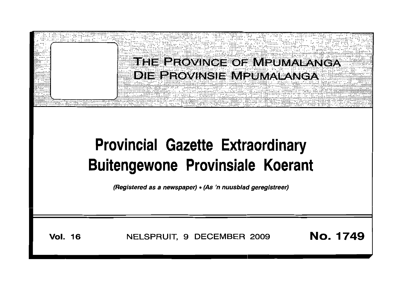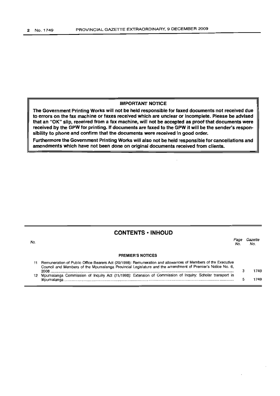## **IMPORTANT NOTICE**

**The Government Printing Works will not be held responsible for faxed documents not received due to errors on the fax machine or faxes received which are unclear or incomplete. Please be advised that an "OK" slip, received from a fax machine, will not be accepted as proof that documents were received by the GPW for printing. If documents are faxed to the GPW it will be the sender's responsibility to phone and confirm that the documents were received in good order.**

**Furthermore the Government Printing Works will also not be held responsible for cancellations and amendments which have not been done on original documents received from clients.**

# **CONTENTS • INHOUD**

| No. |                                                                                                                                                                                                                                   | No | Gazette<br>No. |  |
|-----|-----------------------------------------------------------------------------------------------------------------------------------------------------------------------------------------------------------------------------------|----|----------------|--|
|     | <b>PREMIER'S NOTICES</b>                                                                                                                                                                                                          |    |                |  |
|     | Remuneration of Public Office Bearers Act (20/1998): Remuneration and allowances of Members of the Executive<br>Council and Members of the Mpumalanga Provincial Legislature and the amendment of Premier's Notice No. 6,<br>2008 |    | 1749           |  |
|     | Mpumalanga Commission of Inquiry Act (11/1998): Extension of Commission of Inquiry: Scholar transport in<br>Mpumalanga                                                                                                            |    | 1749           |  |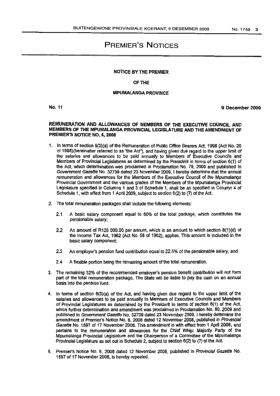# PREMIER'S NOTICES

### NOTICE BY THE PREMIER

### OF THE

#### MPlIMALANGA PROVINCE

No. 11

9 December 2009

### REMlINERATION AND ALLOWANCES OF MEMBERS OF THE EXECUTIVE COUNCIL AND MEMBERS OF THE MPUMALANGA PROVINCIAL LEGISLATURE AND THE AMENDMENT OF PREMIER'S NOTICE NO.6, 2008

- 1. In terms of section 6(3)(a) of the Remuneration of Public Office Bearers Act, 1998(Act No. 20 of 1998)(hereinafter referred to as "the *Ad."),* and having givendue regard to the upper limit of the salaries and allowances to be paid annually to Members of Executive Councils and Members of Provincial Legislatures as determined by the President in terms of section 6(1) of the Act, which determination was proclaimed in Proclamation No. 79, 2009 and published In Government Gazette No. 32739 dated 23 November 2009, I hereby determine that the annual remuneration and allowances for the Members of the Executive Council of the Mpumalanga Provincial Government and the various grades of the Members of the Mpumalanga Provincial Legislature specified in Columns 1 and 3 of Schedule 1, shall be as specified in Column 4 of Schedule 1, with effect from 1 April 2009, subject to section 6(2) to (7) of the Act.
- 2. The total remuneration packages shall include the following elements:
	- 2.1 A basic salary component equal to 60% of the total package, which constitutes the pensionable salary;
	- 2.2 An amount of R120 000.00 per annum, which is an amount to which section 8(1)(d) of the Income Tax Act, 1962 (Act No. 58 of 1962), applies. This amount is included in the basic salary component:
	- 2.3 An employer's pension fund contribution equal to 22.5% of the pensionable salary; and
	- 2.4 A flexible portion being the remaining amount of the total remuneration.
- 3. The remaining 32% of the recommended employer's pension benefit contribution will not form part of the total remuneration package. The State will be liable to pay the cash on an annual basis into the pension fund.
- 4. In terms of section 6(3)(a) of the Act, and having given due regard to the upper limit of the salaries and allowances to be paid annually to Members of Executive Councils and Members of Provincial Legislatures as determined by the President in tenns of section 6(1) of the Act, which further determination and amendment was proclaimed in Proclamation No. 80, 2009 and published In Government Gazette No. 32739 dated 23 November 2009, I hereby determine the amendment of Premier's Notice No.6, 2008 dated 12 November 2008, published in Provincial Gazette No. 1597 of 17 November 2008. This amendment is with effect from 1 April 2008, and pertains to the remuneration and allowances for the Chief Whip: Majority Party of the Mpumalanga Provincial Legislature and the Chairperson of a Committee of the Mpumalanga Provincial Legislature as set out in Schedule 2, subject to section 6(2) to (7) of the Act.
- 5. Premier's Notice No.6, 2008 dated 12 November 2008, published in Provincial Gazette No. 1597of 17 November 2008, is hereby repealed.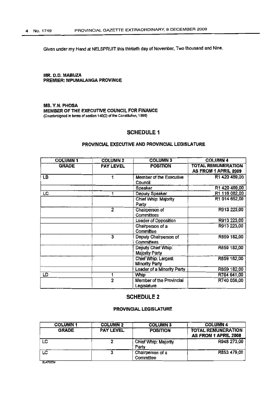Given under my Hand at NElSPRUIT thisthirtieth dayof November, Twothousand and Nine.

### MR. D.O. MABUZA PREMIER: MPUMALANGA PROVINCE

MS. Y.N.PHOSA MEMBER OF THE EXECUTIVE COUNCIL FOR FINANCE (Countersigned in terms ofsectlon 140(2) or the Constitution, 1996)

# SCHEDULE 1

# PROVINCIAL EXECUTIVE AND PROVINCIAL LEGISLATURE

| <b>COLUMN1</b> | <b>COLUMN 2</b>  | <b>COLUMN3</b>                               | <b>COLUMN 4</b>                                   |
|----------------|------------------|----------------------------------------------|---------------------------------------------------|
| <b>GRADE</b>   | <b>PAY LEVEL</b> | <b>POSITION</b>                              | <b>TOTAL REMUNERATION</b><br>AS FROM 1 APRIL 2009 |
| LB             | 1                | Member of the Executive<br>Council           | R1 420 489.00                                     |
|                |                  | Speaker                                      | R1 420 489,00                                     |
| LC             |                  | Deputy Speaker                               | R1 116 082,00                                     |
|                |                  | Chief Whip: Majority<br>Party                | R1 014 652,00                                     |
|                | $\overline{2}$   | Chairperson of<br>Committees                 | R913 223,00                                       |
|                |                  | Leader of Opposition                         | R913 223,00                                       |
|                |                  | Chairperson of a<br>Committee                | R913 223,00                                       |
|                | 3                | Deputy Chairperson of<br>Committees          | R859 182,00                                       |
|                |                  | Deputy Chief Whip:<br><b>Majority Party</b>  | R859 182,00                                       |
|                |                  | Chief Whip: Largest<br><b>Minority Party</b> | R859 182,00                                       |
|                |                  | Leader of a Minority Party                   | R859 182,00                                       |
| LD             |                  | Whip                                         | R764 641,00                                       |
|                | $\overline{2}$   | Member of the Provincial<br>Legislature      | R740 056,00                                       |

# SCHEDULE 2

# PROVINCIAL LEGISLATURE

| <b>COLUMN1</b> | <b>COLUMN 2</b>  | <b>COLUMN3</b>                | <b>COLUMN 4</b>                                   |
|----------------|------------------|-------------------------------|---------------------------------------------------|
| <b>GRADE</b>   | <b>PAY LEVEL</b> | <b>POSITION</b>               | <b>TOTAL REMUNERATION</b><br>AS FROM 1 APRIL 2008 |
| LC             | 2                | Chief Whip: Majority<br>Partv | R948 273,00                                       |
| LC             |                  | Chairperson of a<br>Committee | R853 479.00                                       |
| SLA7007M       |                  |                               |                                                   |